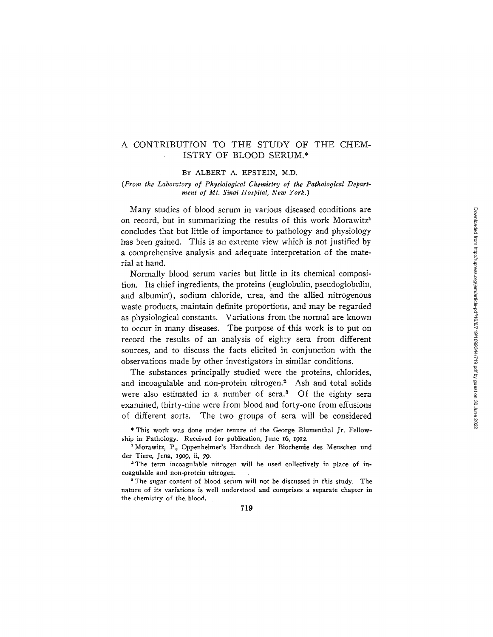### A CONTRIBUTION TO THE STUDY OF THE CHEM-ISTRY OF BLOOD SERUM.\*

#### BY ALBERT A. EPSTEIN, *M.D.*

#### *(From the Laboratory of Physiological Chemistry of the Pathological Department of Mt. Sinai Hospital, New York.)*

Many studies of blood serum in various diseased conditions are on record, but in summarizing the results of this work Morawitz<sup>1</sup> concludes that but little of importance to pathology and physiology has been gained. This is an extreme view which is not justified by a comprehensive analysis and adequate interpretation of the material at hand.

Normally blood serum varies but little in its chemical composition. Its chief ingredients, the proteins (euglobulin, pseudoglobulin, and albumin'), sodium chloride, urea, and the allied nitrogenous waste products, maintain definite proportions, and may be regarded as physiological constants. Variations from the normal are known to occur in many diseases. The purpose of this work is to put on record the results of an analysis of eighty sera from different sources, and to discuss the facts elicited in conjunction with the observations made by other investigators in similar conditions.

The substances principally studied were the proteins, chlorides, and incoagulable and non-protein nitrogen.<sup>2</sup> Ash and total solids were also estimated in a number of sera.<sup>3</sup> Of the eighty sera examined, thirty-nine were from blood and forty-one from effusions of different sorts. The two groups of sera will be considered

\* This work was done under tenure of the George Blumenthal Jr. Fellowship in Pathology. Received for publication, June I6, I912.

Morawitz, P., Oppenheimer's Handbuch der Biochemie des Menschen und der Tiere, Jena, 19o9, ii, 79.

2The term incoagulable nitrogen will be used collectively in place of incoagulable and non-protein nitrogen.

<sup>3</sup> The sugar content of blood serum will not be discussed in this study. The nature of its variations is well understood and comprises a separate chapter in the chemistry of the blood.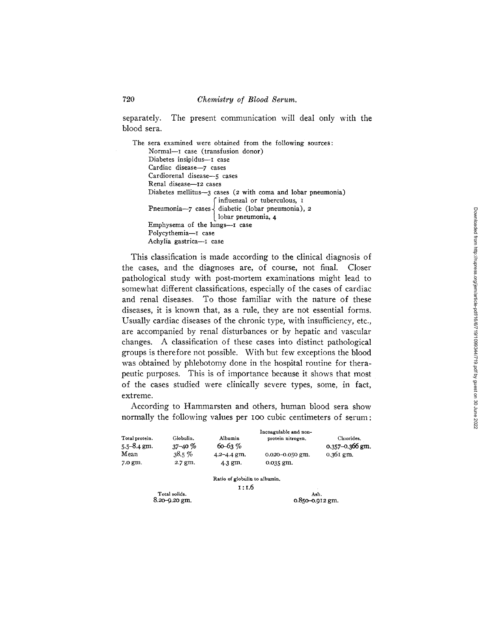separately. The present communication will deal only with the blood sera.

The sera examined were obtained from the following sources: Normal-I case (transfusion donor) Diabetes insipidus--- I case Cardiac disease-7 cases Cardiorenal disease--5 cases Renal disease--12 cases Diabetes mellitus--3 cases (2 with coma and lobar pneumonia) f influenzal or tuberculous, I diabetic (lobar pneumonia), 2 lobar pneumonia, 4 Emphysema of the lungs--I case Polycythemia-I case Achylia gastrica--I case

This classification is made according to the clinical diagnosis of the cases, and the diagnoses are, of course, not final. Closer pathological study with post-mortem examinations might lead to somewhat different classifications, especially of the cases of cardiac and renal diseases. To those familiar with the nature of these diseases, it is known that, as a rule, they are not essential forms. Usually cardiac diseases of the chronic type, with insufficiency, etc., are accompanied by renal disturbances or by hepatic and vascular changes. A classification of these cases into distinct pathological groups is therefore not possible. With but few exceptions the blood was obtained by phlebotomy done in the hospital routine for therapeutic purposes. This is of importance because it shows that most of the cases studied were clinically severe fypes, some, in fact, extreme.

According to Hammarsten and others, human blood sera show normally the following values per Ioo cubic centimeters of serum:

|                                   |                           |                               | Incoagulable and non- |                               |
|-----------------------------------|---------------------------|-------------------------------|-----------------------|-------------------------------|
| Total protein.<br>$5.5 - 8.4$ gm. | Globulin.<br>$37 - 40 \%$ | Albumin<br>$60 - 63 \%$       | protein nitrogen.     | Chiorides.<br>0.357-0.366 gm. |
| Mean                              | 38.5%                     | $4.2 - 4.4$ gm.               | $0.020 - 0.050$ gm.   | $0.361$ gm.                   |
| 7.0 gm.                           | 2.7 gm.                   | 4.3 gm.                       | 0.035 gm.             |                               |
|                                   |                           | Ratio of globulin to albumin. |                       |                               |
|                                   |                           | 1 : 1.6                       |                       |                               |

**Total** solids. Ash.

0.850-0.912 gm.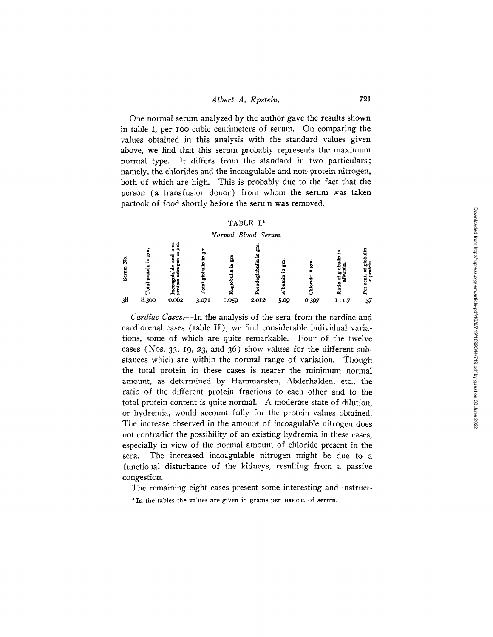One normal serum analyzed by the author gave the results shown in table I, per Ioo cubic centimeters of serum. On comparing the values obtained in this analysis with the standard values given above, we find that this serum probably represents the maximum normal type. It differs from the standard in two particulars; namely, the chlorides and the incoagulable and non-protein nitrogen, both of which are high. This is probably due to the fact that the person (a transfusion donor) from whom the serum was taken partook of food shortly before the serum was removed.

### TABLE I.'

#### *Normal Blood Serum.*

| z<br>ဟ |       | п.,   |       |       |       |      |       |       | . 모 |
|--------|-------|-------|-------|-------|-------|------|-------|-------|-----|
| 38     | 8.300 | 0.062 | 3.071 | 1.059 | 2.012 | 5.09 | 0.397 | 1:1.7 | 37  |

*Cardiac Cases.~In* the analysis of the sera from the cardiac and cardiorenal cases (table II), we find considerable individual variations, some of which are quite remarkable. Four of the twelve cases (Nos. 33, 19, 23, and 36) show values for the different substances which are within the normal range of variation. Though the total protein in these cases is nearer the minimum normal amount, as determined by Hammarsten, Abderhalden, etc., the ratio of the different protein fractions to each other and to the total protein content is quite normal. A moderate state of dilution, or hydremia, would account fully for the protein values obtained. The increase observed in the amount of incoagulable nitrogen does not contradict the possibility of an existing hydremia in these cases, especially in view of the normal amount of chloride present in the sera. The increased incoagulable nitrogen might be due to a functional disturbance of the kidneys, resulting from a passive congestion.

The remaining eight cases present some interesting and instruct-

' In the tables the values are given in grams per 100 c.c. of serum.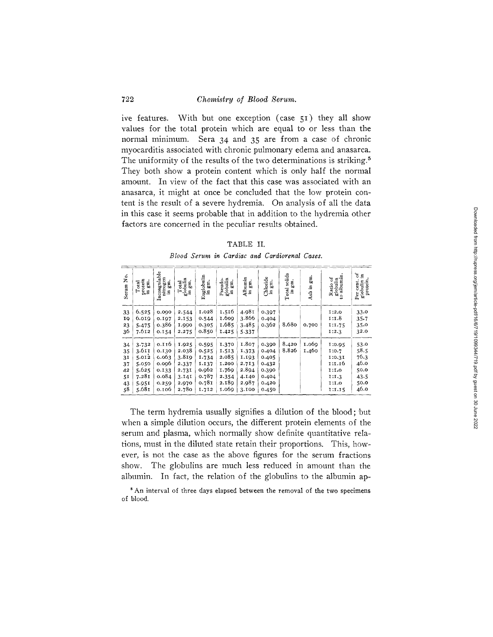ive features. With but one exception (case 51) they all show values for the total protein which are equal to or less than the normal minimum. Sera 34 and 35 are from a case of chronic myocarditis associated with chronic pulmonary edema and anasarca. The uniformity of the results of the two determinations is striking.<sup>5</sup> They both show a protein content which is only half the normal amount. In view of the fact that this case was associated with an anasarca, it might at once be concluded that the low protein content is the result of a severe hydremia. On analysis of all the data in this case it seems probable that in addition to the hydremia other factors are concerned in the peculiar results obtained.

| ABL' |  |
|------|--|
|------|--|

|  |  |  |  |  | Blood Serum in Cardiac and Cardiorenal Cases. |  |
|--|--|--|--|--|-----------------------------------------------|--|
|--|--|--|--|--|-----------------------------------------------|--|

| Χo.<br>Serum                                 | protein<br>in gm.<br>gi,<br>Total                                    | Incoagulable<br>nitrogen<br>ę.<br>Ē,                                 | globulin<br>in gm.<br>gm.<br>Total                                   | Euglobulin<br>in gm.<br>g ri                                         | globulin<br>Pseudo-<br>gm.<br>Ē.                                     | Albumin<br>in gm.<br>gm.                                             | Chloride<br>in gm.<br>gm.                                            | Total solids<br>gm.<br>£. | gi<br>Sa<br>Ash in | albumin<br>Ratio of<br>borness<br>globulin<br>to alw                     | ð<br>£.<br>cent.<br>globulin<br>protein<br>Per               |
|----------------------------------------------|----------------------------------------------------------------------|----------------------------------------------------------------------|----------------------------------------------------------------------|----------------------------------------------------------------------|----------------------------------------------------------------------|----------------------------------------------------------------------|----------------------------------------------------------------------|---------------------------|--------------------|--------------------------------------------------------------------------|--------------------------------------------------------------|
| 33<br>19<br>23<br>36                         | 6.525<br>6.019<br>5.475<br>7.612                                     | 0.000<br>0.197<br>0.386<br>0.154                                     | 2.544<br>2.153<br>1.990<br>2.275                                     | 1.028<br>0.544<br>0.305<br>0.850                                     | 1.516<br>1.600<br>1.685<br>1.425                                     | 4.981<br>3.866<br>3.485<br>5.337                                     | 0.397<br>0.404<br>0.362                                              | 8.680                     | 0.700              | 1:2.0<br>1:1.8<br>1:1.75<br>1:2.3                                        | 33.0<br>$35 - 7$<br>35.0<br>32.0                             |
| 34<br>35<br>31<br>37<br>42<br>51<br>43<br>58 | 3.732<br>3.611<br>5.012<br>5.050<br>5.625<br>7.281<br>5.951<br>5.681 | 0.116<br>0.130<br>0.063<br>0.096<br>0.133<br>0.084<br>0.259<br>0.106 | 1.925<br>2.038<br>3.819<br>2.337<br>2.731<br>3.141<br>2.970<br>2.780 | 0.595<br>0.525<br>1.734<br>1.137<br>0.962<br>0.787<br>0.781<br>1.712 | 1.370<br>1.513<br>2.085<br>1.200<br>1.769<br>2.354<br>2.189<br>000.I | 1.807<br>1.373<br>1.193<br>2.713<br>2.894<br>4.140<br>2.987<br>3.100 | 0.390<br>0.404<br>0.405<br>0.432<br>0.390<br>0.404<br>0.420<br>0.450 | 8.420<br>8.826            | 000.1<br>1.460     | 1:0.95<br>1:0.7<br>1:0.31<br>1:1.16<br>1:1.0<br>1:1.3<br>1:1.0<br>1:1.15 | 53.0<br>58.5<br>76.3<br>46.0<br>50.0<br>43.5<br>50.0<br>46.0 |

The term hydremia usually signifies a dilution of the blood; but when a simple dilution occurs, the different protein elements of the serum and plasma, which normally show definite quantitative relations, must in the diluted state retain their proportions. This, however, is not the case as the above figures for the serum fractions show. The globulins are much less reduced in amount than the albumin. In fact, the relation of the globulins to the albumin ap-

 $5$  An interval of three days elapsed between the removal of the two specimens **of** blood.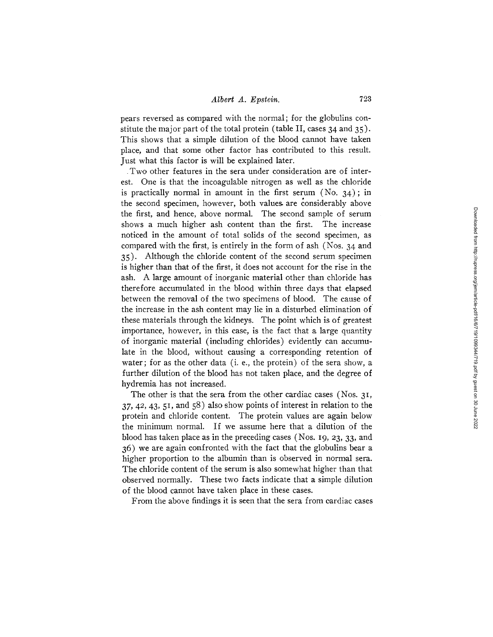pears reversed as compared with the normal; for the globulins constitute the major part of the total protein (table II, cases 34 and 35). This shows that a simple dilution of the blood cannot have taken place, and that some other factor has contributed to this result. Just what this factor is will be explained later.

Two other features in the sera under consideration are of interest. One is that the incoagulable nitrogen as well as the chloride is practically normal in amount in the first serum (No.  $34$ ); in the second specimen, however, both values are considerably above the first, and hence, above normal. The second sample of serum shows a much higher ash content than the first. The increase noticed in the amount of total solids of the second specimen, as compared with the first, is entirely in the form of ash (Nos. 34 and 35). Although the chloride content of the second serum specimen is higher than that of the first, it does not account for the rise in the ash. A large amount of inorganic material other than chloride has therefore accumulated in the blood within three days that elapsed between the removal of the two specimens of blood. The cause of the increase in the ash content may lie in a disturbed elimination of these materials through the kidneys. The point which is of greatest importance, however, in this case, is the fact that a large quantity of inorganic material (including chlorides) evidently can accumulate in the blood, without causing a corresponding retention of water; for as the other data (i. e., the protein) of the sera show, a further dilution of the blood has not taken place, and the degree of hydremia has not increased.

The other is that the sera from the other cardiac cases (Nos. 3I,  $37, 42, 43, 51,$  and  $58$ ) also show points of interest in relation to the protein and chloride content. The protein values are again below the minimum normal. If we assume here that a dilution of the blood has taken place as in the preceding cases (Nos. 19, 23, 33, and 36) we are again confronted with the fact that the globulins bear a higher proportion to the albumin than is observed in normal sera. The chloride content of the serum is also somewhat higher than that observed normally. These two facts indicate that a simple dilution of the blood cannot have taken place in these cases.

From the above findings it is seen that the sera from cardiac cases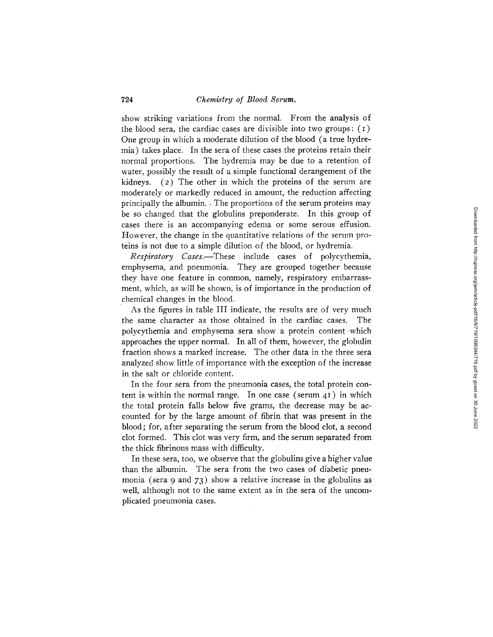show striking variations from the normal. From the analysis of the blood sera, the cardiac cases are divisible into two groups:  $(1)$ One group in which a moderate dilution of the blood (a true hydremia) takes place. In the sera of these cases the proteins retain their normal proportions. The hydremia may be due to a retention of water, possibly the result of a simple functional derangement of the kidneys. (2) The other in which the proteins of the serum are moderately or markedly reduced in amount, the reduction affecting principally the albumin. • The proportions of the serum proteins may be so changed that the globulins preponderate. In this group of cases there is an accompanying edema or some serous effusion. However, the change in the quantitative relations of the serum proteins is not due to a simple dilution of the blood, or hydremia.

*Respiratory Caxes.--These* include cases of polycythemia, emphysema, and pneumonia. They are grouped together because they have one feature in common, namely, respiratory embarrassment, which, as will be shown, is of importance in the production of chemical changes in the blood.

As the figures in table III indicate, the results are of very much the same character as those obtained in the cardiac cases. The polycythemia and emphysema sera show a protein content which approaches the upper normal. In all of them, however, the globulin fraction shows a marked increase. The other data in the three sera analyzed show little of importance with the exception of the increase in the salt or chloride content.

In the four sera from the pneumonia cases, the total protein content is within the normal range. In one case (serum  $\Delta I$ ) in which the total protein falls below five grams, the decrease may be accounted for by the large amount of fibrin that was present in the blood; for, after separating the serum from the blood clot, a second clot formed. This clot wus very firm, and the serum separated from the thick fibrinous mass with difficulty.

In these sera, too, we observe that the globulins give a higher value than the albumin. The sera from the two cases of diabetic pneumonia (sera 9 and 73) show a relative increase in the globulins as well, although not to the same extent as in the sera of the uncomplicated pneumonia cases.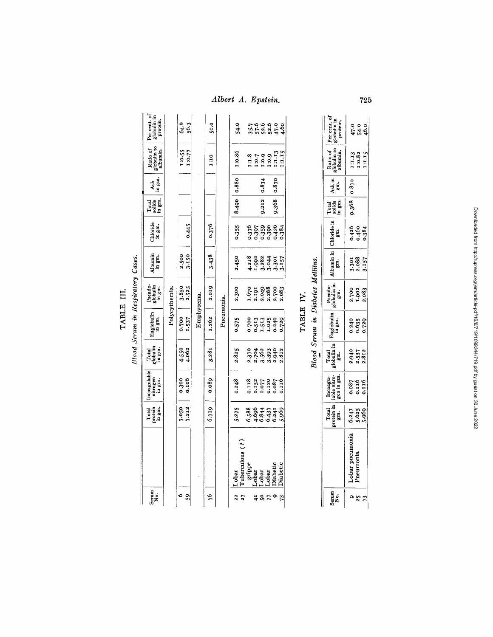*Albert A. Epstein.* **<sup>725</sup>**

| TABLE<br>213 | $\tau_{s}$<br>Resti |
|--------------|---------------------|
|              |                     |
|              |                     |

| Serum<br>No.   |                                                              | Total<br>protein<br>in gm. | Incoagulable<br>nitrogen<br>in gm.        | Total<br>globulin<br>in gm.        | Euglobulin<br>in gm.                       | Pseudo-<br>globulin<br>in gm.              | Albumin<br>in gm.                           | Chloride<br>in gm.               | Total<br>solids<br>in gm. | Ash<br>in gm. | Ratio of<br>globulin to<br>albumin. | Per cent. of<br>globulin in<br>protein. |
|----------------|--------------------------------------------------------------|----------------------------|-------------------------------------------|------------------------------------|--------------------------------------------|--------------------------------------------|---------------------------------------------|----------------------------------|---------------------------|---------------|-------------------------------------|-----------------------------------------|
|                |                                                              |                            |                                           |                                    |                                            | Polycythemia.                              |                                             |                                  |                           |               |                                     |                                         |
| S,             |                                                              | 7.050<br>7.212             | 0.300                                     | 4.550<br>4.062                     | 0.700<br>1.537                             | $3.850$<br>$2.525$                         | 2.500<br>3.150                              |                                  |                           |               | 1:0.55                              | 64.3<br>56.3                            |
|                |                                                              |                            |                                           |                                    | Emphysema.                                 |                                            |                                             | 0.445                            |                           |               | 110.77                              |                                         |
| 24             |                                                              | 6.719                      | 0.089                                     | 3.281                              | 1.262                                      | 2.019                                      | 3.438                                       | 0.376                            |                           |               | 01:1                                | 50.0                                    |
|                |                                                              |                            |                                           |                                    | Pneumonia.                                 |                                            |                                             |                                  |                           |               |                                     |                                         |
| $\overline{2}$ | uberculous (?)<br>Lobar                                      | 5.275                      | 0.248                                     | 2.825                              | 0.575                                      | 2.300                                      | 2.450                                       | 0.355                            |                           | 8.490 0.880   | 1:0.86                              | 54.0                                    |
|                |                                                              |                            |                                           |                                    |                                            |                                            |                                             |                                  |                           |               |                                     |                                         |
| 41             |                                                              |                            |                                           |                                    |                                            |                                            |                                             |                                  |                           |               |                                     |                                         |
| 507            | grippe<br>Lobar<br>Lobar<br>Diabetic<br>Diabetic<br>Diabetic | 6.586<br>6.69477<br>6.6947 | 0.118<br>0.152<br>0.020<br>0.087<br>0.116 | 2.370<br>2.562<br>2.393<br>2.3.312 | 0.700<br>0.513<br>0.1024<br>0.240<br>0.729 | 1.670<br>2.1918<br>2.198<br>2.198<br>2.083 | 4.3182<br>1.982<br>4.3.3.57<br>4.57<br>4.57 | 0.359<br>0.393984<br>0.0.0.0.0.0 | 9.212                     | 0.834         |                                     | こと こ こ こ こ こ こ こ こ こ こ こ こ こ こ こ        |
|                |                                                              |                            |                                           |                                    |                                            |                                            |                                             |                                  |                           |               |                                     |                                         |
|                |                                                              |                            |                                           |                                    |                                            |                                            |                                             |                                  | 9.368                     | 0.870         |                                     |                                         |
| 73             |                                                              |                            |                                           |                                    |                                            |                                            |                                             |                                  |                           |               |                                     |                                         |

Blood Serum in Diabetes Mellitus. TABLE IV.

| יפּ<br>ג≳ |                                       | $\begin{array}{c} \text{Total} \\ \text{from} \\ \text{gen} \end{array}$ | Incoagu-<br>able nitro-<br>gen in gm. | Total<br>Iobulin in<br>gm. | luglobulin<br>in gm.    | Pseudo-<br>lobulin in<br>gm. | lbumin in<br>gm.        | Chloride ir<br>grn.     | Teige<br>Lage<br>Lage | Ash in<br>gm. | Ratio of<br>obulin to<br>abumin. | Per cent.<br>globulin in<br>protein. |
|-----------|---------------------------------------|--------------------------------------------------------------------------|---------------------------------------|----------------------------|-------------------------|------------------------------|-------------------------|-------------------------|-----------------------|---------------|----------------------------------|--------------------------------------|
|           | neumoni<br>obar p<br>neu <sup>-</sup> | 6.2599                                                                   | 180.00<br>9111.0<br>9111.116          | 2.940<br>2.537<br>2.812    | 0.240<br>0.635<br>0.729 | 2.700<br>1.902<br>2.083      | 3.301<br>2.088<br>3.157 | 0.426<br>0.460<br>0.384 | 9.368                 | 0.870         | 11.13<br>13.82<br>11.15          | 음 요 ㅎ<br>유 요 ㅎ<br>유 요 ㅎ              |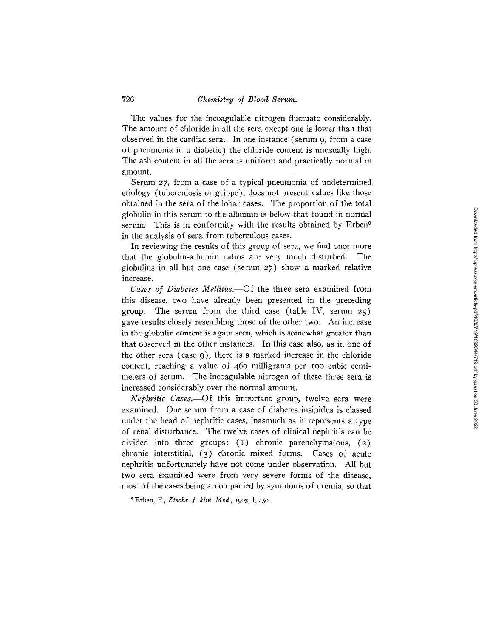The values for the incoagulable nitrogen fluctuate considerably. The amount of chloride in all the sera except one is lower than that observed in the cardiac sera. In one instance (serum 9, from a case of pneumonia in a diabetic) the chloride content is unusually high. The ash content in all the sera is uniform and practically normal in amount.

Serum *27,* from a case of a typical pneumonia of undetermined etiology (tuberculosis or grippe), does not present values like those obtained in the sera of the lobar cases. The proportion of the total globulin in this serum to the albumin is below that found in normal serum. This is in conformity with the results obtained by Erben<sup>6</sup> in the analysis of sera from tuberculous cases.

In reviewing the results of this group of sera, we find once more that the globulin-albumin ratios are very much disturbed. The globulins in all but one case (serum 27) show a marked relative increase.

*Cases of Diabetes Mellitus.*—Of the three sera examined from this disease, two have already been presented in the preceding group. The serum from the third case (table IV, serum  $25$ ) gave results closely resembling those of the other two. An increase in the globulin content is again seen, which is somewhat greater than that observed in the other instances. In this case also, as in one of the other sera (case 9), there is a marked increase in the chloride content, reaching a value of 46o milligrams per Ioo cubic centimeters of serum. The incoagulable nitrogen of these three sera is increased considerably over the normal amount.

*Nephritic Cases.--Of* this important group, twelve sera were examined. One serum from a case of diabetes insipidus is classed under the head of nephritic cases, inasmuch as it represents a type of renal disturbance. The twelve cases of clinical nephritis can be divided into three groups:  $(1)$  chronic parenchymatous,  $(2)$ chronic interstitial, (3) chronic mixed forms. Cases of acute nephritis unfortunately have not come under observation. All but two sera examined were from very severe forms of the disease, most of the cases being accompanied by symptoms of uremia, so that

o Erben, F., *Ztschr. f. klin. Med.,* 19o3, 1, 450.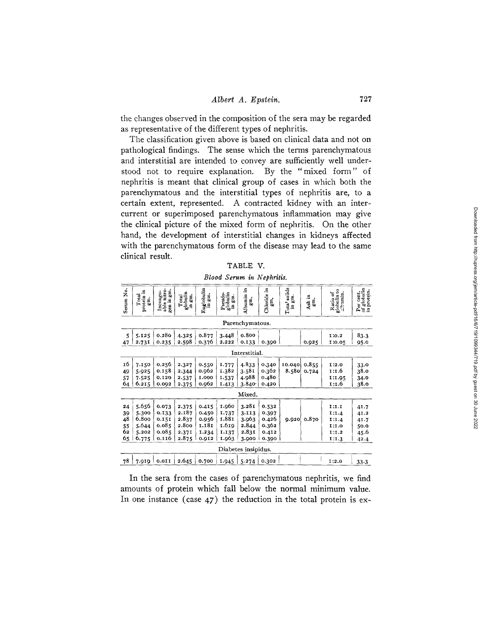the changes observed in the composition of the sera may be regarded as representative of the different types of nephritis.

The classification given above is based on clinical data and not on pathological findings. The sense which the terms parenchymatous and interstitial are intended to convey are sufficiently well understood not to require explanation. By the "mixed form" of nephritis is meant that clinical group of cases in which both the parenchymatous and the interstitial types of nephritis are, to a certain extent, represented. A contracted kidney with an intercurrent or superimposed parenchymatous inflammation may give the clinical picture of the mixed form of nephritis. On the other hand, the development of interstitial changes in kidneys affected with the parenchymatous form of the disease may lead to the same clinical resuk.

| 'A BL |  |
|-------|--|
|-------|--|

*Blood Serum in Nephritis.* 

| Serum No.                        | protein in<br>Total<br>gm.                         | able nitro-<br>gen in gm.<br>Incoagu-              | globulin<br>in gm.<br>Total                        | <b>Euglobulin</b><br>in gm.                        | globulin<br>Pseudo-<br>gm.<br>g                    | Albumin in<br>gi.                                                         | Chloride in<br>gn.                                 | Tota' solids<br>in gm. | Ash in<br>ę.   | globulin to<br>albumin.<br>Ratio of                | Per cent.<br>of globulin<br>in protein.      |  |
|----------------------------------|----------------------------------------------------|----------------------------------------------------|----------------------------------------------------|----------------------------------------------------|----------------------------------------------------|---------------------------------------------------------------------------|----------------------------------------------------|------------------------|----------------|----------------------------------------------------|----------------------------------------------|--|
|                                  |                                                    |                                                    |                                                    |                                                    |                                                    | Parenchymatous.                                                           |                                                    |                        |                |                                                    |                                              |  |
| 5<br>47                          | 5.125<br>2.731                                     | 0.280<br>0.235                                     | 4.325<br>2.598                                     | 0.877<br>0.376                                     | 3.448<br>2.222                                     | 0.800<br>0.133                                                            | 0.390                                              |                        | 0.925          | I:0.2<br>1:0.05                                    | 83.3<br>95.0                                 |  |
|                                  |                                                    |                                                    |                                                    |                                                    |                                                    | Interstitial.                                                             |                                                    |                        |                |                                                    |                                              |  |
| 16<br>49<br>57<br>64             | 7.150<br>5.925<br>7.525<br>6.215                   | 0.256<br>0.158<br>0.120<br>0.002                   | 2.327<br>2.344<br>2.537<br>2.375                   | 0.550<br>0.962<br>1.000<br>0.962                   | 1.777<br>1.382<br>1.537<br>1.413                   | 4.833<br>3.581<br>4.988<br>3.840                                          | 0.340<br>0.362<br>0.480<br>0.420                   | 10.040<br>8.580        | 0.855<br>0.724 | I:2.0<br>1:1.6<br>1:1.95<br>1:1.6                  | 33.0<br>38.0<br>34.0<br>38.0                 |  |
|                                  | Mixed.                                             |                                                    |                                                    |                                                    |                                                    |                                                                           |                                                    |                        |                |                                                    |                                              |  |
| 24<br>39<br>48<br>55<br>62<br>65 | 5.656<br>5.300<br>6.800<br>5.644<br>5.202<br>6.775 | 0.073<br>0.133<br>0.151<br>0.085<br>0.085<br>0.116 | 2.375<br>2.187<br>2.837<br>2.800<br>2.371<br>2.875 | 0.415<br>0.450<br>0.956<br>1.181<br>1.234<br>0.912 | 1.960<br>1.737<br>I.881<br>1.619<br>1.137<br>1.963 | 3.281<br>3.113<br>3.963<br>2.844<br>2.831<br>3.900<br>Diabetes insipidus. | 0.532<br>0.397<br>0.426<br>0.362<br>0.412<br>0.390 | 9.920                  | 0.870          | I:I.I<br>1:1.4<br>1:1.4<br>1:1.0<br>I:1.2<br>1:1.3 | 41.7<br>41.2<br>41.7<br>50.0<br>45.6<br>42.4 |  |
| 78                               | 7.919                                              | $0.0$ II                                           | 2.645                                              | 0.700                                              | 1.945                                              | 5.274                                                                     | 0.302                                              |                        |                | 1:2.0                                              | 33.3                                         |  |

In the sera from the cases of parenchymatous nephritis, we find amounts of protein which fall below the normal minimum value. In one instance (case 47) the reduction in the total protein is ex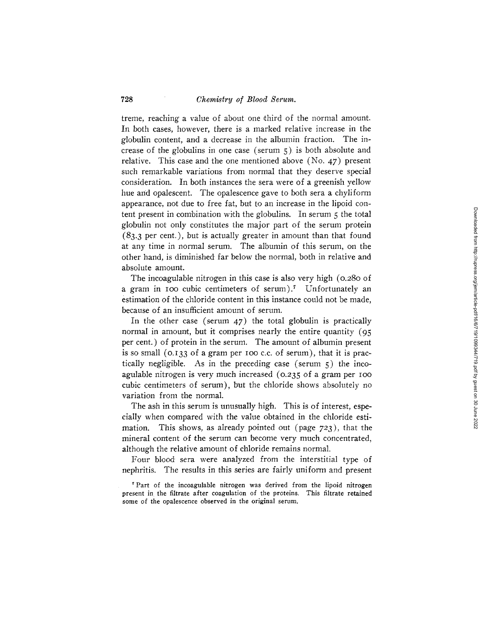728 *Chemistry of Blood Serum.* 

treme, reaching a value of about one third of the normal amount. In both cases, however, there is a marked relative increase in the globulin content, and a decrease in the albumin fraction. The increase of the globulins in one case (serum  $5$ ) is both absolute and relative. This case and the one mentioned above (No. *47)* present such remarkable variations from normal that they deserve special consideration. In both instances the sera were of a greenish yellow hue and opalescent. The opalescence gave to both sera a chyliform appearance, not due to free fat, but to an increase in the lipoid content present in combination with the globulins. In serum 5 the total globulin not only constitutes the major part of the serum protein  $(83.3 \text{ per cent.})$ , but is actually greater in amount than that found at any time in normal serum. The albumin of this serum, on the other hand, is diminished far below the normal, both in relative and absolute amount.

The incoagulable nitrogen in this case is also very high (0.280 of a gram in 100 cubic centimeters of serum).<sup>7</sup> Unfortunately an estimation of the chloride content in this instance could not be made, because of an insufficient amount of serum.

In the other case (serum 47) the total globulin is practically normal in amount, but it comprises nearly the entire quantity (95 per cent.) of protein in the serum. The amount of albumin present is so small  $(0.133 \text{ of a gram per too c.c. of serum})$ , that it is practically negligible. As in the preceding case (serum  $5$ ) the incoagulable nitrogen is very much increased (0.235 of a gram per IOO cubic centimeters of serum), but the chloride shows absolutely no variation from the normal.

The ash in this serum is unusually high. This is of interest, especially when compared with the value obtained in the chloride estimation. This shows, as already pointed out (page 723), that the mineral content of the serum can become very much concentrated, although the relative amount of chloride remains normal.

Four blood sera were analyzed from the interstitial type of nephritis. The results in this series are fairly uniform and present

<sup>&</sup>lt;sup>7</sup> Part of the incoagulable nitrogen was derived from the lipoid nitrogen present in the filtrate after coagulation of the proteins. This filtrate retained some of the opalescence observed in the original serum.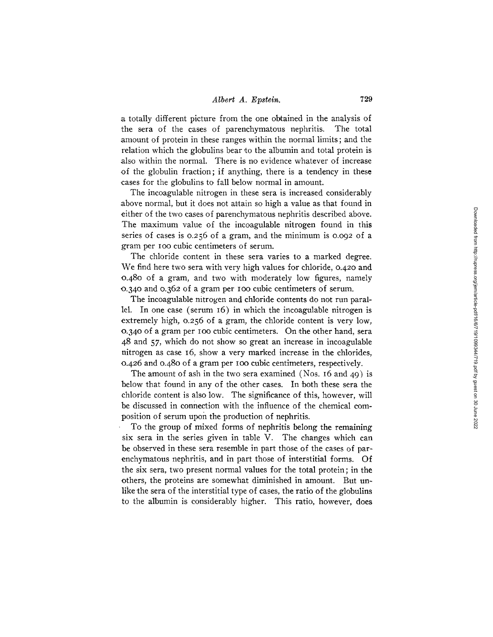a totally different picture from the one obtained in the analysis of the sera of the cases of parenchymatous nephritis. The total amount of protein in these ranges within the normal limits; and the relation which the globulins bear to the albumin and total protein is also within the normal. There is no evidence whatever of increase of the globulin fraction; if anything, there is a tendency in these cases for the globulins to fall below normal in amount.

The incoagulable nitrogen in these sera is increased considerably above normal, but it does not attain so high a value as that found in either of the two cases of parenchymatous nephritis described above. The maximum value of the incoagulable nitrogen found in this series of cases is o.256 of a gram, and the minimum is o.o92 of a gram per IOO cubic centimeters of serum.

The chloride content in these sera varies to a marked degree. We find here two sera with very high values for chloride, o.42o and o.48o of a gram, and two with moderately low figures, namely o.34o and o.362 of a gram per Ioo cubic centimeters of serum.

The incoagulable nitrogen and chloride contents do not run parallel. In one case (serum 16) in which the incoagulable nitrogen is extremely high, o.256 of a gram, the chloride content is very low, o.34o of a gram per Ioo cubic centimeters. On the other hand, sera 48 and *57,* which do not show so great an increase in incoagulable nitrogen as case I6, show a very marked increase in the chlorides, 0.426 and o.48o of a gram per Ioo cubic centimeters, respectively.

The amount of ash in the two sera examined (Nos. I6 and 49) is below that found in any of the other cases. In both these sera the chloride content is also low. The significance of this, however, will be discussed in connection with the influence of the chemical composition of serum upon the production of nephritis.

To the group of mixed forms of nephritis belong the remaining six sera in the series given in table V. The changes which can be observed in these sera resemble in part those of the cases of parenchymatous nephritis, and in part those of interstitial forms. Of the six sera, two present normal values for the total protein; in the others, the proteins are somewhat diminished in amount. But unlike the sera of the interstitial type of cases, the ratio of the globulins to the albumin is considerably higher. This ratio, however, does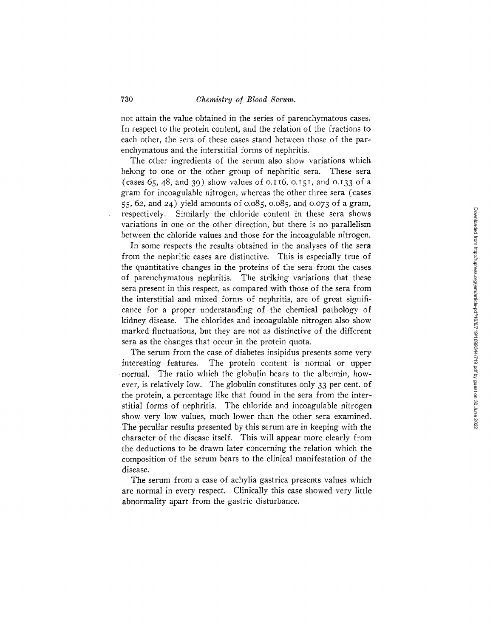not attain the value obtained in the series of parenchymatous cases. In respect to the protein content, and the relation of the fractions to each other, the sera of these cases stand between those of the parenchymatous and the interstitial forms of nephritis.

The other ingredients of the serum also show variations which belong to one or the other group of nephritic sera. These sera (cases  $65, 48,$  and  $39$ ) show values of 0.116, 0.151, and 0.133 of a gram for incoagulable nitrogen, whereas the other three sera (cases 55, 62, and 24) yield amounts of o.o85, o.o85, and o.o73 of a gram, respectively. Similarly the chloride content in these sera shows variations in one or the other direction, but there is no parallelism between the chloride values and those for the incoagulable nitrogen.

In some respects the results obtained in the analyses of the sera from the nephritic cases are distinctive. This is especially true of the quantitative changes in the proteins of the sera from the cases of parenchymatous nephritis. The striking variations that these sera present in this respect, as compared with those of the sera from the interstitial and mixed forms of nephritis, are of great significance for a proper understanding of the chemical pathology of kidney disease. The chlorides and incoagulable nitrogen also show marked fluctuations, but they are not as distinctive of the different sera as the changes that occur in the protein quota.

The serum from the case of diabetes insipidus presents some very interesting features. The protein content is normal or upper normal. The ratio which the globulin bears to the albumin, however, is relatively low. The globulin constitutes only 33 per cent. of the protein, a percentage like that found in the sera from the interstitial forms of nephritis. The chloride and incoagulable nitrogen show very low values, much lower than the other sera examined. The peculiar results presented by this serum are in keeping with the. character of the disease itself. This will appear more clearly from the deductions to be drawn later concerning the relation which the composition of the serum bears to the clinical manifestation of the disease.

The serum from a case of achylia gastrica presents values which are normal in every respect. Clinically this case showed very little abnormality apart from the gastric disturbance.